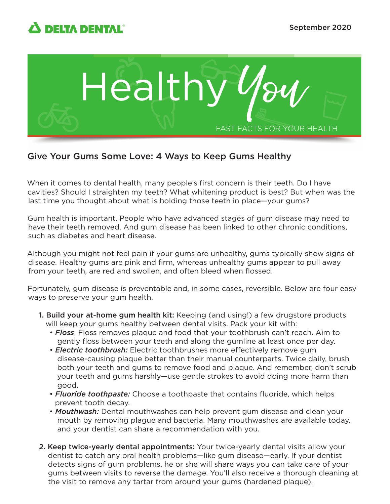



## Give Your Gums Some Love: 4 Ways to Keep Gums Healthy

When it comes to dental health, many people's first concern is their teeth. Do I have cavities? Should I straighten my teeth? What whitening product is best? But when was the last time you thought about what is holding those teeth in place—your gums?

Gum health is important. People who have advanced stages of gum disease may need to have their teeth removed. And gum disease has been linked to other chronic conditions, such as diabetes and heart disease.

Although you might not feel pain if your gums are unhealthy, gums typically show signs of disease. Healthy gums are pink and firm, whereas unhealthy gums appear to pull away from your teeth, are red and swollen, and often bleed when flossed.

Fortunately, gum disease is preventable and, in some cases, reversible. Below are four easy ways to preserve your gum health.

- 1. Build your at-home gum health kit: Keeping (and using!) a few drugstore products will keep your gums healthy between dental visits. Pack your kit with:
	- *Floss*: Floss removes plaque and food that your toothbrush can't reach. Aim to gently floss between your teeth and along the gumline at least once per day.
	- *Electric toothbrush:* Electric toothbrushes more effectively remove gum disease-causing plaque better than their manual counterparts. Twice daily, brush both your teeth and gums to remove food and plaque. And remember, don't scrub your teeth and gums harshly—use gentle strokes to avoid doing more harm than good.
	- *Fluoride toothpaste:* Choose a toothpaste that contains fluoride, which helps prevent tooth decay.
	- *Mouthwash:* Dental mouthwashes can help prevent gum disease and clean your mouth by removing plague and bacteria. Many mouthwashes are available today, and your dentist can share a recommendation with you.
- 2. Keep twice-yearly dental appointments: Your twice-yearly dental visits allow your dentist to catch any oral health problems—like gum disease—early. If your dentist detects signs of gum problems, he or she will share ways you can take care of your gums between visits to reverse the damage. You'll also receive a thorough cleaning at the visit to remove any tartar from around your gums (hardened plaque).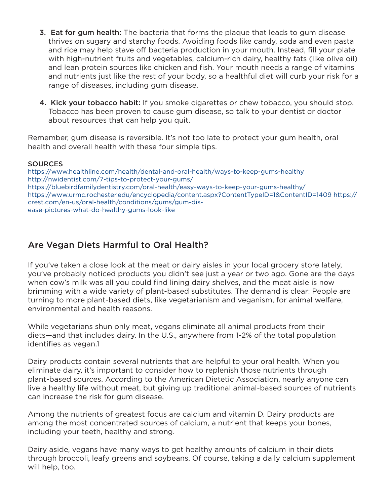- **3. Eat for gum health:** The bacteria that forms the plaque that leads to gum disease thrives on sugary and starchy foods. Avoiding foods like candy, soda and even pasta and rice may help stave off bacteria production in your mouth. Instead, fill your plate with high-nutrient fruits and vegetables, calcium-rich dairy, healthy fats (like olive oil) and lean protein sources like chicken and fish. Your mouth needs a range of vitamins and nutrients just like the rest of your body, so a healthful diet will curb your risk for a range of diseases, including gum disease.
- 4. Kick your tobacco habit: If you smoke cigarettes or chew tobacco, you should stop. Tobacco has been proven to cause gum disease, so talk to your dentist or doctor about resources that can help you quit.

Remember, gum disease is reversible. It's not too late to protect your gum health, oral health and overall health with these four simple tips.

## **SOURCES**

<https://www.healthline.com/health/dental-and-oral-health/ways-to-keep-gums-healthy> <http://nwidentist.com/7-tips-to-protect-your-gums/> <https://bluebirdfamilydentistry.com/oral-health/easy-ways-to-keep-your-gums-healthy/> <https://www.urmc.rochester.edu/encyclopedia/content.aspx?ContentTypeID=1&ContentID=1409> [https://](https://crest.com/en-us/oral-health/conditions/gums/gum-dis-ease-pictures-what-do-healthy-gums-look-like) [crest.com/en-us/oral-health/conditions/gums/gum-dis](https://crest.com/en-us/oral-health/conditions/gums/gum-dis-ease-pictures-what-do-healthy-gums-look-like)ease[-pictures-what-do-healthy-gums-look-like](https://crest.com/en-us/oral-health/conditions/gums/gum-dis-ease-pictures-what-do-healthy-gums-look-like)

## Are Vegan Diets Harmful to Oral Health?

If you've taken a close look at the meat or dairy aisles in your local grocery store lately, you've probably noticed products you didn't see just a year or two ago. Gone are the days when cow's milk was all you could find lining dairy shelves, and the meat aisle is now brimming with a wide variety of plant-based substitutes. The demand is clear: People are turning to more plant-based diets, like vegetarianism and veganism, for animal welfare, environmental and health reasons.

While vegetarians shun only meat, vegans eliminate all animal products from their diets—and that includes dairy. In the U.S., anywhere from 1-2% of the total population identifies as vegan.1

Dairy products contain several nutrients that are helpful to your oral health. When you eliminate dairy, it's important to consider how to replenish those nutrients through plant-based sources. According to the American Dietetic Association, nearly anyone can live a healthy life without meat, but giving up traditional animal-based sources of nutrients can increase the risk for gum disease.

Among the nutrients of greatest focus are calcium and vitamin D. Dairy products are among the most concentrated sources of calcium, a nutrient that keeps your bones, including your teeth, healthy and strong.

Dairy aside, vegans have many ways to get healthy amounts of calcium in their diets through broccoli, leafy greens and soybeans. Of course, taking a daily calcium supplement will help, too.